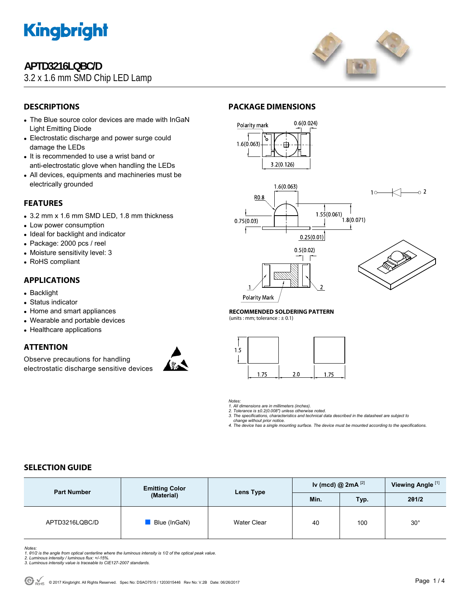

# **APTD3216LQBC/D**

3.2 x 1.6 mm SMD Chip LED Lamp



# **DESCRIPTIONS**

- The Blue source color devices are made with InGaN Light Emitting Diode
- Electrostatic discharge and power surge could damage the LEDs
- It is recommended to use a wrist band or anti-electrostatic glove when handling the LEDs
- All devices, equipments and machineries must be electrically grounded

## **FEATURES**

- 3.2 mm x 1.6 mm SMD LED, 1.8 mm thickness
- Low power consumption
- Ideal for backlight and indicator
- Package: 2000 pcs / reel
- Moisture sensitivity level: 3
- RoHS compliant

### **APPLICATIONS**

- Backlight
- Status indicator
- Home and smart appliances
- Wearable and portable devices
- Healthcare applications

## **ATTENTION**

Observe precautions for handling electrostatic discharge sensitive devices



### **PACKAGE DIMENSIONS**



**Polarity Mark** 

**RECOMMENDED SOLDERING PATTERN** 

(units : mm; tolerance  $: \pm 0.1$ )



*Notes:* 

*1. All dimensions are in millimeters (inches). 2. Tolerance is ±0.2(0.008") unless otherwise noted.* 

*3. The specifications, characteristics and technical data described in the datasheet are subject to* 

 *change without prior notice. 4. The device has a single mounting surface. The device must be mounted according to the specifications.* 

### **SELECTION GUIDE**

| <b>Part Number</b> | <b>Emitting Color</b><br>(Material) | Lens Type   | Iv (mcd) @ $2mA$ <sup>[2]</sup> |      | Viewing Angle <sup>[1]</sup> |
|--------------------|-------------------------------------|-------------|---------------------------------|------|------------------------------|
|                    |                                     |             | Min.                            | Typ. | 201/2                        |
| APTD3216LQBC/D     | Blue (InGaN)                        | Water Clear | 40                              | 100  | $30^{\circ}$                 |

*Notes:* 

*1. θ1/2 is the angle from optical centerline where the luminous intensity is 1/2 of the optical peak value. 2. Luminous intensity / luminous flux: +/-15%.* 

*3. Luminous intensity value is traceable to CIE127-2007 standards.*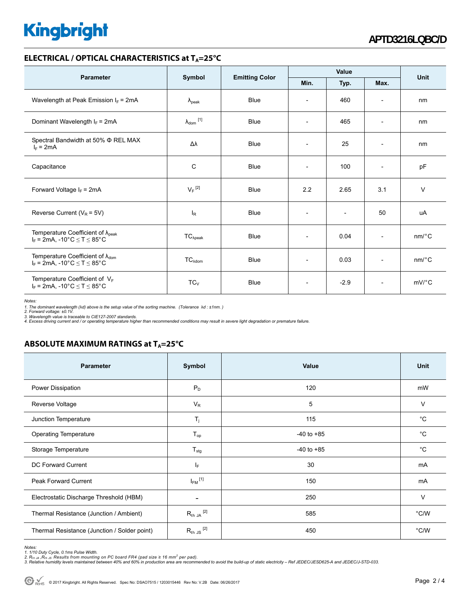# **Kingbright**

#### **ELECTRICAL / OPTICAL CHARACTERISTICS at T<sub>A</sub>=25°C**

| <b>Parameter</b>                                                                           | Symbol                     | <b>Emitting Color</b> | Value                    |                          |                          | <b>Unit</b>           |
|--------------------------------------------------------------------------------------------|----------------------------|-----------------------|--------------------------|--------------------------|--------------------------|-----------------------|
|                                                                                            |                            |                       | Min.                     | Typ.                     | Max.                     |                       |
| Wavelength at Peak Emission $I_F$ = 2mA                                                    | $\lambda_{\rm peak}$       | <b>Blue</b>           | $\overline{\phantom{a}}$ | 460                      | $\overline{\phantom{a}}$ | nm                    |
| Dominant Wavelength $I_F = 2mA$                                                            | $\lambda_{\text{dom}}$ [1] | <b>Blue</b>           | $\overline{\phantom{a}}$ | 465                      | $\overline{\phantom{a}}$ | nm                    |
| Spectral Bandwidth at 50% $\Phi$ REL MAX<br>$I_F = 2mA$                                    | Δλ                         | <b>Blue</b>           | $\overline{\phantom{a}}$ | 25                       | $\overline{\phantom{a}}$ | nm                    |
| Capacitance                                                                                | C                          | Blue                  | $\overline{\phantom{a}}$ | 100                      | $\overline{a}$           | pF                    |
| Forward Voltage $I_F$ = 2mA                                                                | $V_F$ <sup>[2]</sup>       | <b>Blue</b>           | 2.2                      | 2.65                     | 3.1                      | $\vee$                |
| Reverse Current ( $V_R$ = 5V)                                                              | $I_R$                      | <b>Blue</b>           | $\overline{\phantom{a}}$ | $\overline{\phantom{a}}$ | 50                       | uA                    |
| Temperature Coefficient of $\lambda_{peak}$<br>$I_F = 2mA$ , -10°C $\le T \le 85$ °C       | $TC_{\lambda peak}$        | <b>Blue</b>           | $\overline{\phantom{a}}$ | 0.04                     | $\overline{\phantom{a}}$ | $nm$ <sup>o</sup> $C$ |
| Temperature Coefficient of $\lambda_{\text{dom}}$<br>$I_F = 2mA$ , -10°C $\le T \le 85$ °C | $TC_{\text{Adom}}$         | <b>Blue</b>           |                          | 0.03                     | $\overline{\phantom{a}}$ | $nm$ <sup>o</sup> $C$ |
| Temperature Coefficient of $V_F$<br>$I_F = 2mA$ , -10°C $\le T \le 85$ °C                  | $TC_{V}$                   | <b>Blue</b>           | $\overline{\phantom{a}}$ | $-2.9$                   | $\overline{\phantom{a}}$ | $mV$ <sup>o</sup> $C$ |

*Notes:* 

1. The dominant wavelength (λd) above is the setup value of the sorting machine. (Tolerance λd : ±1nm. )<br>2. Forward voltage: ±0.1V.<br>3. Wavelength value is traceable to CIE127-2007 standards.<br>4. Excess driving current and

# **ABSOLUTE MAXIMUM RATINGS at T<sub>A</sub>=25°C**

| <b>Parameter</b>                             | Symbol                   | Value          | Unit          |
|----------------------------------------------|--------------------------|----------------|---------------|
| Power Dissipation                            | $P_D$                    | 120            | mW            |
| Reverse Voltage                              | $V_R$                    | 5              | V             |
| Junction Temperature                         | $T_{j}$                  | 115            | $^{\circ}C$   |
| <b>Operating Temperature</b>                 | $T_{op}$                 | $-40$ to $+85$ | $^{\circ}C$   |
| Storage Temperature                          | $T_{\text{stg}}$         | $-40$ to $+85$ | $^{\circ}C$   |
| DC Forward Current                           | IF.                      | 30             | mA            |
| Peak Forward Current                         | $I_{FM}$ <sup>[1]</sup>  | 150            | mA            |
| Electrostatic Discharge Threshold (HBM)      | $\overline{\phantom{a}}$ | 250            | $\vee$        |
| Thermal Resistance (Junction / Ambient)      | $R_{th}$ JA $^{[2]}$     | 585            | °C/W          |
| Thermal Resistance (Junction / Solder point) | $R_{th}$ JS $^{[2]}$     | 450            | $\degree$ C/W |

*Notes:* 

<sup>1. 1/10</sup> Duty Cycle, 0.1ms Pulse Width.<br>2. R<sub>th Ju</sub> ,R<sub>h JS</sub> Results from mounting on PC board FR4 (pad size ≥ 16 mm² per pad).<br>3. Relative humidity levels maintained between 40% and 60% in production area are recommended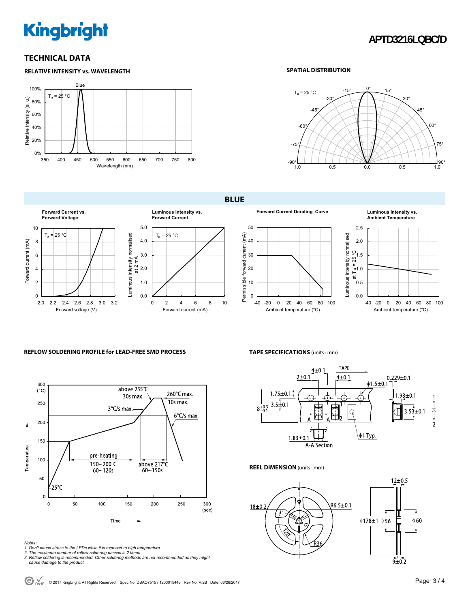# **Kingbright**

### **TECHNICAL DATA**

#### **RELATIVE INTENSITY vs. WAVELENGTH**



#### **SPATIAL DISTRIBUTION**



**BLUE** 













#### **REFLOW SOLDERING PROFILE for LEAD-FREE SMD PROCESS**



#### *Notes:*

#### **TAPE SPECIFICATIONS** (units : mm)



**REEL DIMENSION** (units : mm)



<sup>1.</sup> Don't cause stress to the LEDs while it is exposed to high temperature.<br>2. The maximum number of reflow soldering passes is 2 times.<br>3. Reflow soldering is recommended. Other soldering methods are not recommended as the